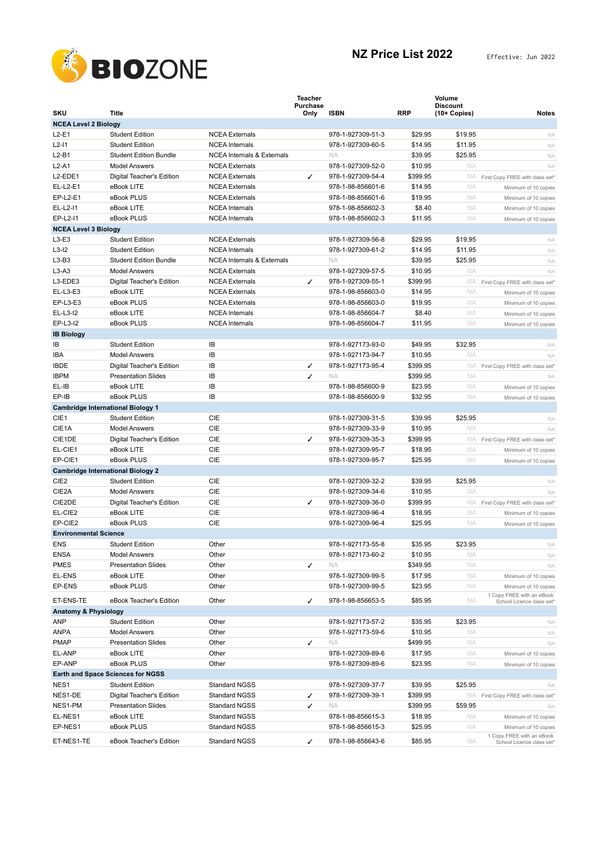

|                                 |                                                                    |                                       | <b>Teacher</b>          |                   |            | Volume                             |                                                   |
|---------------------------------|--------------------------------------------------------------------|---------------------------------------|-------------------------|-------------------|------------|------------------------------------|---------------------------------------------------|
| <b>SKU</b>                      | <b>Title</b>                                                       |                                       | <b>Purchase</b><br>Only | <b>ISBN</b>       | <b>RRP</b> | <b>Discount</b><br>$(10 + Copies)$ | <b>Notes</b>                                      |
| <b>NCEA Level 2 Biology</b>     |                                                                    |                                       |                         |                   |            |                                    |                                                   |
| $L2-E1$                         | <b>Student Edition</b>                                             | <b>NCEA</b> Externals                 |                         | 978-1-927309-51-3 | \$29.95    | \$19.95                            | <b>NA</b>                                         |
| $L2-11$                         | <b>Student Edition</b>                                             | <b>NCEA</b> Internals                 |                         | 978-1-927309-60-5 | \$14.95    | \$11.95                            | NA                                                |
| $L2-B1$                         | <b>Student Edition Bundle</b>                                      | <b>NCEA Internals &amp; Externals</b> |                         | <b>NA</b>         | \$39.95    | \$25.95                            | NA                                                |
| $L2-A1$                         | <b>Model Answers</b>                                               | <b>NCEA</b> Externals                 |                         | 978-1-927309-52-0 | \$10.95    | NA                                 | NA                                                |
| L2-EDE1                         | Digital Teacher's Edition                                          | <b>NCEA</b> Externals                 | ✓                       | 978-1-927309-54-4 | \$399.95   | NA.                                | First Copy FREE with class set*                   |
| EL-L2-E1                        | eBook LITE                                                         | <b>NCEA Externals</b>                 |                         | 978-1-98-856601-6 | \$14.95    | NA                                 | Minimum of 10 copies                              |
| EP-L2-E1                        | eBook PLUS                                                         | <b>NCEA Externals</b>                 |                         | 978-1-98-856601-6 | \$19.95    | ΝA                                 | Minimum of 10 copies                              |
| EL-L2-I1                        | eBook LITE                                                         | <b>NCEA</b> Internals                 |                         | 978-1-98-856602-3 | \$8.40     | ΝA                                 | Minimum of 10 copies                              |
| EP-L2-11                        | eBook PLUS                                                         | <b>NCEA</b> Internals                 |                         | 978-1-98-856602-3 | \$11.95    | ΝA                                 | Minimum of 10 copies                              |
| <b>NCEA Level 3 Biology</b>     |                                                                    |                                       |                         |                   |            |                                    |                                                   |
| $L3-E3$                         | <b>Student Edition</b>                                             | <b>NCEA</b> Externals                 |                         | 978-1-927309-56-8 | \$29.95    | \$19.95                            | <b>NA</b>                                         |
| $L3-I2$                         | <b>Student Edition</b>                                             | <b>NCEA</b> Internals                 |                         | 978-1-927309-61-2 | \$14.95    | \$11.95                            | NA                                                |
| $L3-B3$                         | <b>Student Edition Bundle</b>                                      | <b>NCEA Internals &amp; Externals</b> |                         | <b>NA</b>         | \$39.95    | \$25.95                            | NA                                                |
| $L3-A3$                         | <b>Model Answers</b>                                               | <b>NCEA Externals</b>                 |                         | 978-1-927309-57-5 | \$10.95    | ΝA                                 | NA                                                |
| L3-EDE3                         | Digital Teacher's Edition                                          | <b>NCEA Externals</b>                 | ✓                       | 978-1-927309-55-1 | \$399.95   | NA.                                | First Copy FREE with class set*                   |
| EL-L3-E3                        | eBook LITE                                                         | <b>NCEA Externals</b>                 |                         | 978-1-98-856603-0 | \$14.95    | ΝA                                 | Minimum of 10 copies                              |
| EP-L3-E3                        | eBook PLUS                                                         | <b>NCEA</b> Externals                 |                         | 978-1-98-856603-0 | \$19.95    | ΝA                                 | Minimum of 10 copies                              |
| EL-L3-I2                        | eBook LITE                                                         | <b>NCEA</b> Internals                 |                         | 978-1-98-856604-7 | \$8.40     | ΝA                                 | Minimum of 10 copies                              |
| EP-L3-I2                        | eBook PLUS                                                         | <b>NCEA</b> Internals                 |                         | 978-1-98-856604-7 | \$11.95    | <b>NA</b>                          | Minimum of 10 copies                              |
| <b>IB Biology</b>               |                                                                    |                                       |                         |                   |            |                                    |                                                   |
| IB                              | <b>Student Edition</b>                                             | IB                                    |                         | 978-1-927173-93-0 | \$49.95    | \$32.95                            | <b>NA</b>                                         |
| <b>IBA</b>                      | <b>Model Answers</b>                                               | IB                                    |                         | 978-1-927173-94-7 | \$10.95    | ΝA                                 | <b>NA</b>                                         |
| <b>IBDE</b>                     | Digital Teacher's Edition                                          | IB                                    | ✓                       | 978-1-927173-95-4 | \$399.95   | ΝA                                 |                                                   |
| <b>IBPM</b>                     | <b>Presentation Slides</b>                                         | IB                                    | ✓                       | <b>NA</b>         | \$399.95   | ΝA                                 | First Copy FREE with class set*                   |
| EL-IB                           | eBook LITE                                                         | IB                                    |                         | 978-1-98-856600-9 | \$23.95    | ΝA                                 | <b>NA</b>                                         |
| EP-IB                           | eBook PLUS                                                         | IB                                    |                         | 978-1-98-856600-9 | \$32.95    | <b>NA</b>                          | Minimum of 10 copies                              |
|                                 |                                                                    |                                       |                         |                   |            |                                    | Minimum of 10 copies                              |
| CIE1                            | <b>Cambridge International Biology 1</b><br><b>Student Edition</b> | CIE                                   |                         | 978-1-927309-31-5 | \$39.95    | \$25.95                            |                                                   |
| CIE1A                           | <b>Model Answers</b>                                               | CIE                                   |                         | 978-1-927309-33-9 | \$10.95    | ΝA                                 | <b>NA</b>                                         |
|                                 |                                                                    |                                       |                         |                   |            |                                    | NA                                                |
| CIE1DE                          | Digital Teacher's Edition                                          | CIE                                   | ✓                       | 978-1-927309-35-3 | \$399.95   | NA.                                | First Copy FREE with class set*                   |
| EL-CIE1                         | eBook LITE                                                         | <b>CIE</b>                            |                         | 978-1-927309-95-7 | \$18.95    | ΝA                                 | Minimum of 10 copies                              |
| EP-CIE1                         | eBook PLUS                                                         | CIE                                   |                         | 978-1-927309-95-7 | \$25.95    | <b>NA</b>                          | Minimum of 10 copies                              |
|                                 | <b>Cambridge International Biology 2</b>                           |                                       |                         |                   |            |                                    |                                                   |
| CIE <sub>2</sub>                | <b>Student Edition</b>                                             | CIE                                   |                         | 978-1-927309-32-2 | \$39.95    | \$25.95                            | <b>NA</b>                                         |
| CIE2A                           | <b>Model Answers</b>                                               | CIE                                   |                         | 978-1-927309-34-6 | \$10.95    | ΝA                                 | NA                                                |
| CIE2DE                          | Digital Teacher's Edition                                          | CIE                                   | ✓                       | 978-1-927309-36-0 | \$399.95   | NA                                 | First Copy FREE with class set*                   |
| EL-CIE2                         | eBook LITE<br>eBook PLUS                                           | CIE                                   |                         | 978-1-927309-96-4 | \$18.95    | ΝA                                 | Minimum of 10 copies                              |
| EP-CIE2                         |                                                                    | CIE                                   |                         | 978-1-927309-96-4 | \$25.95    | ΝA                                 | Minimum of 10 copies                              |
| <b>Environmental Science</b>    |                                                                    |                                       |                         | 978-1-927173-55-8 |            |                                    |                                                   |
| <b>ENS</b>                      | <b>Student Edition</b>                                             | Other                                 |                         |                   | \$35.95    | \$23.95                            | NA                                                |
| <b>ENSA</b>                     | Model Answers                                                      | Other                                 |                         | 978-1-927173-60-2 | \$10.95    | ΝA                                 | <b>NA</b>                                         |
| <b>PMES</b>                     | <b>Presentation Slides</b>                                         | Other                                 | ✓                       | NA.               | \$349.95   | NA                                 | NA                                                |
| EL-ENS                          | eBook LITE                                                         | Other                                 |                         | 978-1-927309-99-5 | \$17.95    | NA                                 | Minimum of 10 copies                              |
| EP-ENS                          | eBook PLUS                                                         | Other                                 |                         | 978-1-927309-99-5 | \$23.95    | NA                                 | Minimum of 10 copies<br>1 Copy FREE with an eBook |
| ET-ENS-TE                       | eBook Teacher's Edition                                            | Other                                 | ✓                       | 978-1-98-856653-5 | \$85.95    | ΝA                                 | School Licence class set*                         |
| <b>Anatomy &amp; Physiology</b> |                                                                    |                                       |                         |                   |            |                                    |                                                   |
| ANP                             | <b>Student Edition</b>                                             | Other                                 |                         | 978-1-927173-57-2 | \$35.95    | \$23.95                            | <b>NA</b>                                         |
| <b>ANPA</b>                     | <b>Model Answers</b>                                               | Other                                 |                         | 978-1-927173-59-6 | \$10.95    | NA                                 | NA                                                |
| <b>PMAP</b>                     | <b>Presentation Slides</b>                                         | Other                                 | ✓                       | <b>NA</b>         | \$499.95   | NA                                 | NA                                                |
| EL-ANP                          | eBook LITE                                                         | Other                                 |                         | 978-1-927309-89-6 | \$17.95    | NA                                 | Minimum of 10 copies                              |
| EP-ANP                          | eBook PLUS                                                         | Other                                 |                         | 978-1-927309-89-6 | \$23.95    | NA                                 | Minimum of 10 copies                              |
|                                 | <b>Earth and Space Sciences for NGSS</b>                           |                                       |                         |                   |            |                                    |                                                   |
| NES1                            | <b>Student Edition</b>                                             | <b>Standard NGSS</b>                  |                         | 978-1-927309-37-7 | \$39.95    | \$25.95                            | <b>NA</b>                                         |
| NES1-DE                         | Digital Teacher's Edition                                          | Standard NGSS                         | ✓                       | 978-1-927309-39-1 | \$399.95   | NA                                 | First Copy FREE with class set*                   |
| NES1-PM                         | <b>Presentation Slides</b>                                         | Standard NGSS                         | ✓                       | <b>NA</b>         | \$399.95   | \$59.95                            | NA                                                |
| EL-NES1                         | eBook LITE                                                         | Standard NGSS                         |                         | 978-1-98-856615-3 | \$18.95    | NA                                 | Minimum of 10 copies                              |
| EP-NES1                         | eBook PLUS                                                         | <b>Standard NGSS</b>                  |                         | 978-1-98-856615-3 | \$25.95    | NA                                 | Minimum of 10 copies                              |
| ET-NES1-TE                      | eBook Teacher's Edition                                            | Standard NGSS                         | ✓                       | 978-1-98-856643-6 | \$85.95    | ΝA                                 | 1 Copy FREE with an eBook                         |
|                                 |                                                                    |                                       |                         |                   |            |                                    | School Licence class set*                         |